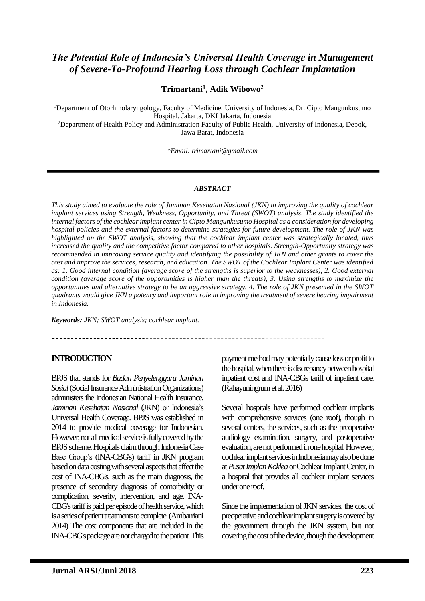# *The Potential Role of Indonesia's Universal Health Coverage in Management of Severe-To-Profound Hearing Loss through Cochlear Implantation*

### **Trimartani<sup>1</sup> , Adik Wibowo<sup>2</sup>**

<sup>1</sup>Department of Otorhinolaryngology, Faculty of Medicine, University of Indonesia, Dr. Cipto Mangunkusumo Hospital, Jakarta, DKI Jakarta, Indonesia

<sup>2</sup>Department of Health Policy and Administration Faculty of Public Health, University of Indonesia, Depok, Jawa Barat, Indonesia

*\*Email: [trimartani@gmail.com](mailto:trimartani@gmail.com)*

#### *ABSTRACT*

*This study aimed to evaluate the role of Jaminan Kesehatan Nasional (JKN) in improving the quality of cochlear implant services using Strength, Weakness, Opportunity, and Threat (SWOT) analysis. The study identified the internal factors of the cochlear implant center in Cipto Mangunkusumo Hospital as a consideration for developing hospital policies and the external factors to determine strategies for future development. The role of JKN was highlighted on the SWOT analysis, showing that the cochlear implant center was strategically located, thus increased the quality and the competitive factor compared to other hospitals. Strength-Opportunity strategy was recommended in improving service quality and identifying the possibility of JKN and other grants to cover the cost and improve the services, research, and education. The SWOT of the Cochlear Implant Center was identified as: 1. Good internal condition (average score of the strengths is superior to the weaknesses), 2. Good external condition (average score of the opportunities is higher than the threats), 3. Using strengths to maximize the opportunities and alternative strategy to be an aggressive strategy. 4. The role of JKN presented in the SWOT quadrants would give JKN a potency and important role in improving the treatment of severe hearing impairment in Indonesia.*

*Keywords: JKN; SWOT analysis; cochlear implant.*

#### **INTRODUCTION**

BPJS that stands for *Badan Penyelenggara Jaminan Sosial*(Social Insurance Administration Organizations) administers the Indonesian National Health Insurance, *Jaminan Kesehatan Nasional* (JKN) or Indonesia's Universal Health Coverage. BPJS was established in 2014 to provide medical coverage for Indonesian. However, not all medical service is fully covered by the BPJS scheme. Hospitals claim through Indonesia Case Base Group's (INA-CBG's) tariff in JKN program based on data costing with several aspects that affect the cost of INA-CBG's, such as the main diagnosis, the presence of secondary diagnosis of comorbidity or complication, severity, intervention, and age. INA-CBG's tariff is paid per episode of health service, which is a series of patient treatments to complete.(Ambarriani 2014) The cost components that are included in the INA-CBG's package are not charged to the patient. This

payment method may potentially cause loss or profit to the hospital, when there is discrepancy between hospital inpatient cost and INA-CBGs tariff of inpatient care. (Rahayuningrum et al. 2016)

Several hospitals have performed cochlear implants with comprehensive services (one roof), though in several centers, the services, such as the preoperative audiology examination, surgery, and postoperative evaluation, are not performed in one hospital. However, cochlear implant services in Indonesia may also be done at *Pusat Implan Koklea*or Cochlear Implant Center, in a hospital that provides all cochlear implant services under one roof.

Since the implementation of JKN services, the cost of preoperative and cochlear implant surgery is covered by the government through the JKN system, but not covering the cost of the device, though the development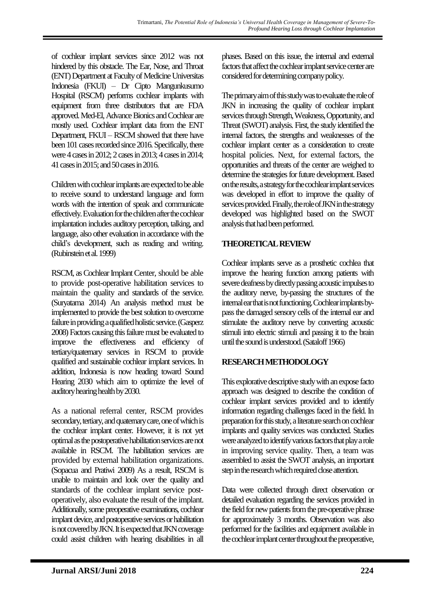of cochlear implant services since 2012 was not hindered by this obstacle. The Ear, Nose, and Throat (ENT) Department at Faculty of Medicine Universitas Indonesia (FKUI) – Dr Cipto Mangunkusumo Hospital (RSCM) performs cochlear implants with equipment from three distributors that are FDA approved. Med-El, Advance Bionics and Cochlear are mostly used. Cochlear implant data from the ENT Department, FKUI – RSCM showed that there have been 101 cases recorded since 2016. Specifically, there were 4 cases in 2012; 2 cases in 2013; 4 cases in 2014; 41 cases in 2015; and 50 cases in 2016.

Children with cochlear implants are expected to be able to receive sound to understand language and form words with the intention of speak and communicate effectively. Evaluation for the children after the cochlear implantation includes auditory perception, talking, and language, also other evaluation in accordance with the child's development, such as reading and writing. (Rubinstein et al. 1999)

RSCM, as Cochlear Implant Center, should be able to provide post-operative habilitation services to maintain the quality and standards of the service. (Suryatama 2014) An analysis method must be implemented to provide the best solution to overcome failure in providing a qualified holistic service.(Gasperz 2008)Factors causing this failure must be evaluated to improve the effectiveness and efficiency of tertiary/quaternary services in RSCM to provide qualified and sustainable cochlear implant services. In addition, Indonesia is now heading toward Sound Hearing 2030 which aim to optimize the level of auditory hearing health by 2030.

As a national referral center, RSCM provides secondary, tertiary, and quaternary care, one of which is the cochlear implant center. However, it is not yet optimal as the postoperative habilitation services are not available in RSCM. The habilitation services are provided by external habilitation organizations. (Sopacua and Pratiwi 2009) As a result, RSCM is unable to maintain and look over the quality and standards of the cochlear implant service postoperatively, also evaluate the result of the implant. Additionally, some preoperative examinations, cochlear implant device, and postoperative services or habilitation is not covered by JKN. It is expected that JKN coverage could assist children with hearing disabilities in all

phases. Based on this issue, the internal and external factors that affect the cochlear implant service center are considered for determining company policy.

The primary aim of this study was to evaluate the role of JKN in increasing the quality of cochlear implant services through Strength, Weakness, Opportunity, and Threat (SWOT) analysis. First, the study identified the internal factors, the strengths and weaknesses of the cochlear implant center as a consideration to create hospital policies. Next, for external factors, the opportunities and threats of the center are weighed to determine the strategies for future development. Based on the results, a strategy for the cochlear implant services was developed in effort to improve the quality of services provided. Finally, the role of JKN in the strategy developed was highlighted based on the SWOT analysis that had been performed.

## **THEORETICAL REVIEW**

Cochlear implants serve as a prosthetic cochlea that improve the hearing function among patients with severe deafness by directly passing acoustic impulses to the auditory nerve, by-passing the structures of the internal ear that is not functioning. Cochlear implants bypass the damaged sensory cells of the internal ear and stimulate the auditory nerve by converting acoustic stimuli into electric stimuli and passing it to the brain until the sound is understood.(Sataloff 1966)

# **RESEARCH METHODOLOGY**

This explorative descriptive study with an expose facto approach was designed to describe the condition of cochlear implant services provided and to identify information regarding challenges faced in the field. In preparation for this study, a literature search on cochlear implants and quality services was conducted. Studies were analyzed to identify various factors that play a role in improving service quality. Then, a team was assembled to assist the SWOT analysis, an important step in the research which required close attention.

Data were collected through direct observation or detailed evaluation regarding the services provided in the field for new patients from the pre-operative phrase for approximately 3 months. Observation was also performed for the facilities and equipment available in the cochlear implant center throughout the preoperative,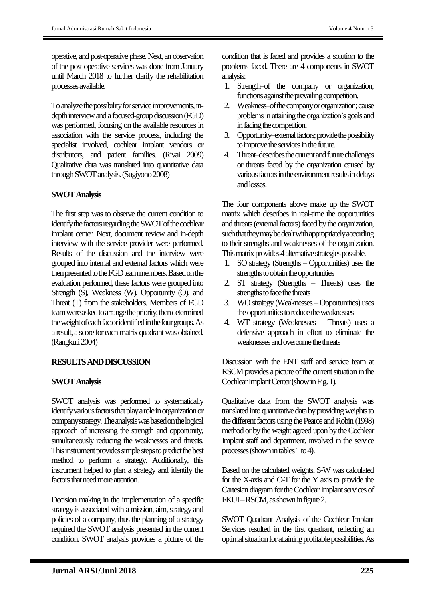operative, and post-operative phase. Next, an observation of the post-operative services was done from January until March 2018 to further clarify the rehabilitation processes available.

To analyze the possibility for service improvements, indepth interview and a focused-group discussion (FGD) was performed, focusing on the available resources in association with the service process, including the specialist involved, cochlear implant vendors or distributors, and patient families. (Rivai 2009) Qualitative data was translated into quantitative data through SWOT analysis.(Sugiyono 2008)

### **SWOT Analysis**

The first step was to observe the current condition to identify the factors regarding the SWOT of the cochlear implant center. Next, document review and in-depth interview with the service provider were performed. Results of the discussion and the interview were grouped into internal and external factors which were then presented to the FGD team members. Based on the evaluation performed, these factors were grouped into Strength (S), Weakness (W), Opportunity (O), and Threat (T) from the stakeholders. Members of FGD team were asked to arrange the priority, then determined the weight of each factor identified in the four groups. As a result, a score for each matrix quadrant was obtained. (Rangkuti 2004)

## **RESULTSAND DISCUSSION**

#### **SWOT Analysis**

SWOT analysis was performed to systematically identify various factors that play a role in organization or company strategy. The analysis was based on the logical approach of increasing the strength and opportunity, simultaneously reducing the weaknesses and threats. This instrument provides simple steps to predict the best method to perform a strategy. Additionally, this instrument helped to plan a strategy and identify the factors that need more attention.

Decision making in the implementation of a specific strategy is associated with a mission, aim, strategy and policies of a company, thus the planning of a strategy required the SWOT analysis presented in the current condition. SWOT analysis provides a picture of the

condition that is faced and provides a solution to the problems faced. There are 4 components in SWOT analysis:

- 1. Strength–of the company or organization; functions against the prevailing competition.
- 2. Weakness–of the company or organization; cause problems in attaining the organization's goals and in facing the competition.
- 3. Opportunity–external factors; provide the possibility to improve the services in the future.
- 4. Threat–describes the current and future challenges or threats faced by the organization caused by various factors in the environment results in delays and losses.

The four components above make up the SWOT matrix which describes in real-time the opportunities and threats (external factors) faced by the organization, such that they may be dealt with appropriately according to their strengths and weaknesses of the organization. This matrix provides 4 alternative strategies possible.

- 1. SO strategy (Strengths Opportunities) uses the strengths to obtain the opportunities
- 2. ST strategy (Strengths Threats) uses the strengths to face the threats
- 3. WO strategy (Weaknesses –Opportunities) uses the opportunities to reduce the weaknesses
- 4. WT strategy (Weaknesses Threats) uses a defensive approach in effort to eliminate the weaknesses and overcome the threats

Discussion with the ENT staff and service team at RSCM provides a picture of the current situation in the Cochlear Implant Center(show in Fig. 1).

Qualitative data from the SWOT analysis was translated into quantitative data by providing weights to the different factors using the Pearce and Robin (1998) method or by the weight agreed upon by the Cochlear Implant staff and department, involved in the service processes(shown in tables 1 to 4).

Based on the calculated weights, S-W was calculated for the X-axis and O-T for the Y axis to provide the Cartesian diagram for the Cochlear Implant services of FKUI –RSCM, as shown in figure 2.

SWOT Quadrant Analysis of the Cochlear Implant Services resulted in the first quadrant, reflecting an optimal situation for attaining profitable possibilities. As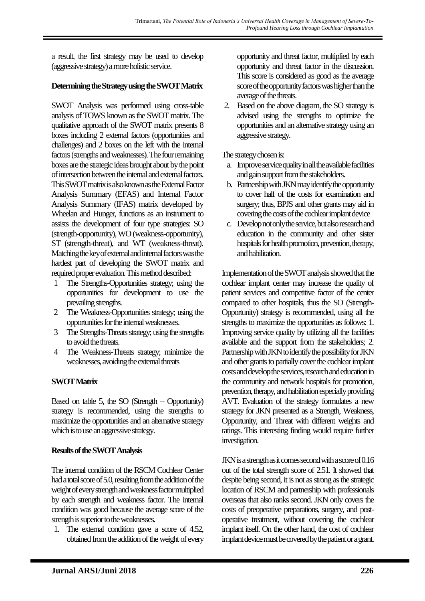a result, the first strategy may be used to develop (aggressive strategy) a more holistic service.

## **Determining the Strategy using the SWOT Matrix**

SWOT Analysis was performed using cross-table analysis of TOWS known as the SWOT matrix. The qualitative approach of the SWOT matrix presents 8 boxes including 2 external factors (opportunities and challenges) and 2 boxes on the left with the internal factors (strengths and weaknesses). The four remaining boxes are the strategic ideas brought about by the point of intersection between the internal and external factors. This SWOT matrix is also known as the External Factor Analysis Summary (EFAS) and Internal Factor Analysis Summary (IFAS) matrix developed by Wheelan and Hunger, functions as an instrument to assists the development of four type strategies: SO (strength-opportunity), WO (weakness-opportunity), ST (strength-threat), and WT (weakness-threat). Matching the key of external and internal factors was the hardest part of developing the SWOT matrix and required proper evaluation. This method described:

- 1 The Strengths-Opportunities strategy; using the opportunities for development to use the prevailing strengths.
- 2 The Weakness-Opportunities strategy; using the opportunities for the internal weaknesses.
- 3 The Strengths-Threats strategy; using the strengths to avoid the threats.
- 4 The Weakness-Threats strategy; minimize the weaknesses, avoiding the external threats

# **SWOT Matrix**

Based on table 5, the SO (Strength – Opportunity) strategy is recommended, using the strengths to maximize the opportunities and an alternative strategy which is to use an aggressive strategy.

## **Results of the SWOT Analysis**

The internal condition of the RSCM Cochlear Center had a total score of 5.0, resulting from the addition of the weight of every strength and weakness factor multiplied by each strength and weakness factor. The internal condition was good because the average score of the strength is superior to the weaknesses.

1. The external condition gave a score of 4.52, obtained from the addition of the weight of every opportunity and threat factor, multiplied by each opportunity and threat factor in the discussion. This score is considered as good as the average score of the opportunity factors was higher than the average of the threats.

2. Based on the above diagram, the SO strategy is advised using the strengths to optimize the opportunities and an alternative strategy using an aggressive strategy.

The strategy chosen is:

- a. Improve service quality in all the available facilities and gain support from the stakeholders.
- b. Partnership with JKN may identify the opportunity to cover half of the costs for examination and surgery; thus, BPJS and other grants may aid in covering the costs of the cochlear implant device
- c. Develop not only the service, but also research and education in the community and other sister hospitals for health promotion, prevention, therapy, and habilitation.

Implementation of the SWOT analysis showed that the cochlear implant center may increase the quality of patient services and competitive factor of the center compared to other hospitals, thus the SO (Strength-Opportunity) strategy is recommended, using all the strengths to maximize the opportunities as follows: 1. Improving service quality by utilizing all the facilities available and the support from the stakeholders; 2. Partnership with JKN to identify the possibility for JKN and other grants to partially cover the cochlear implant costs and develop the services, research and education in the community and network hospitals for promotion, prevention, therapy, and habilitation especially providing AVT. Evaluation of the strategy formulates a new strategy for JKN presented as a Strength, Weakness, Opportunity, and Threat with different weights and ratings. This interesting finding would require further investigation.

JKN is a strength as it comes second with a score of 0.16 out of the total strength score of 2.51. It showed that despite being second, it is not as strong as the strategic location of RSCM and partnership with professionals overseas that also ranks second. JKN only covers the costs of preoperative preparations, surgery, and postoperative treatment, without covering the cochlear implant itself. On the other hand, the cost of cochlear implant device must be covered by the patient or a grant.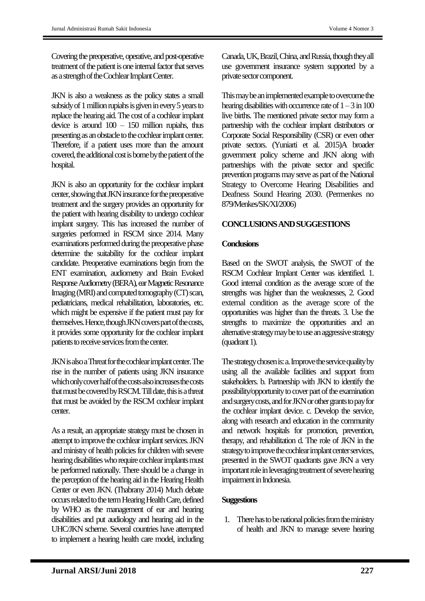Covering the preoperative, operative, and post-operative treatment of the patient is one internal factor that serves as a strength of the Cochlear Implant Center.

JKN is also a weakness as the policy states a small subsidy of 1 million rupiahs is given in every 5 years to replace the hearing aid. The cost of a cochlear implant device is around  $100 - 150$  million rupiahs, thus presenting as an obstacle to the cochlear implant center. Therefore, if a patient uses more than the amount covered, the additional cost is borne by the patient of the hospital.

JKN is also an opportunity for the cochlear implant center, showing that JKN insurance for the preoperative treatment and the surgery provides an opportunity for the patient with hearing disability to undergo cochlear implant surgery. This has increased the number of surgeries performed in RSCM since 2014. Many examinations performed during the preoperative phase determine the suitability for the cochlear implant candidate. Preoperative examinations begin from the ENT examination, audiometry and Brain Evoked Response Audiometry (BERA), ear Magnetic Resonance Imaging (MRI) and computed tomography (CT) scan, pediatricians, medical rehabilitation, laboratories, etc. which might be expensive if the patient must pay for themselves. Hence, though JKN covers part of the costs, it provides some opportunity for the cochlear implant patients to receive services from the center.

JKN is also a Threat for the cochlear implant center. The rise in the number of patients using JKN insurance which only cover half of the costs also increases the costs that must be covered by RSCM. Till date, this is a threat that must be avoided by the RSCM cochlear implant center.

As a result, an appropriate strategy must be chosen in attempt to improve the cochlear implant services. JKN and ministry of health policies for children with severe hearing disabilities who require cochlear implants must be performed nationally. There should be a change in the perception of the hearing aid in the Hearing Health Center or even JKN. (Thabrany 2014) Much debate occurs related to the term Hearing Health Care, defined by WHO as the management of ear and hearing disabilities and put audiology and hearing aid in the UHC/JKN scheme. Several countries have attempted to implement a hearing health care model, including

Canada, UK, Brazil, China, and Russia, though they all use government insurance system supported by a private sector component.

This may be an implemented example to overcome the hearing disabilities with occurrence rate of  $1 - 3$  in 100 live births. The mentioned private sector may form a partnership with the cochlear implant distributors or Corporate Social Responsibility (CSR) or even other private sectors. (Yuniarti et al. 2015)A broader government policy scheme and JKN along with partnerships with the private sector and specific prevention programs may serve as part of the National Strategy to Overcome Hearing Disabilities and Deafness Sound Hearing 2030. (Permenkes no 879/Menkes/SK/XI/2006)

## **CONCLUSIONSAND SUGGESTIONS**

### **Conclusions**

Based on the SWOT analysis, the SWOT of the RSCM Cochlear Implant Center was identified. 1. Good internal condition as the average score of the strengths was higher than the weaknesses, 2. Good external condition as the average score of the opportunities was higher than the threats. 3. Use the strengths to maximize the opportunities and an alternative strategy may be to use an aggressive strategy (quadrant 1).

The strategy chosen is: a. Improve the service quality by using all the available facilities and support from stakeholders. b. Partnership with JKN to identify the possibility/opportunity to cover part of the examination and surgery costs, and for JKN or other grants to pay for the cochlear implant device. c. Develop the service, along with research and education in the community and network hospitals for promotion, prevention, therapy, and rehabilitation d. The role of JKN in the strategy to improve the cochlear implant center services, presented in the SWOT quadrants gave JKN a very important role in leveraging treatment of severe hearing impairment in Indonesia.

#### **Suggestions**

1. There has to be national policies from the ministry of health and JKN to manage severe hearing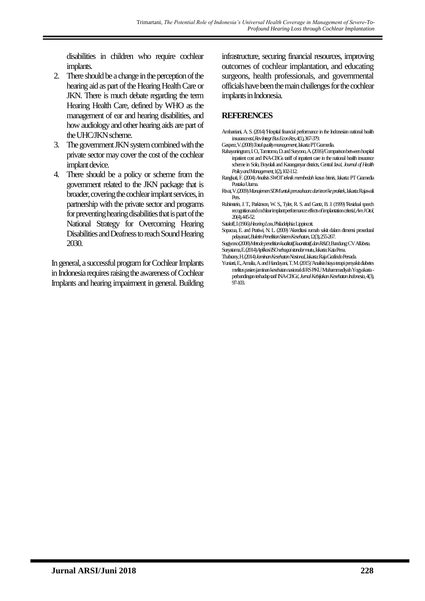disabilities in children who require cochlear implants.

- 2. There should be a change in the perception of the hearing aid as part of the Hearing Health Care or JKN. There is much debate regarding the term Hearing Health Care, defined by WHO as the management of ear and hearing disabilities, and how audiology and other hearing aids are part of the UHC/JKN scheme.
- 3. The government JKN system combined with the private sector may cover the cost of the cochlear implant device.
- 4. There should be a policy or scheme from the government related to the JKN package that is broader, covering the cochlear implant services, in partnership with the private sector and programs for preventing hearing disabilities that is part of the National Strategy for Overcoming Hearing Disabilities and Deafness to reach Sound Hearing 2030.

In general, a successful program for Cochlear Implants in Indonesia requires raising the awareness of Cochlear Implants and hearing impairment in general. Building

infrastructure, securing financial resources, improving outcomes of cochlear implantation, and educating surgeons, health professionals, and governmental officials have been the main challenges for the cochlear implants in Indonesia.

## **REFERENCES**

- Ambarriani, A. S. (2014) 'Hospital financial performance in the Indonesian national health insurance era', *Rev Integr Bus Econ Res,*4(1), 367-379.
- Gasperz, V. (2008) *Total quality management,*Jakarta:PT Gramedia.
- Rahayuningrum, I.O., Tamtomo, D. and Suryono, A. (2016) Comparison between hospital inpatient cost and INA-CBGs tariff of inpatient care in the national health insurance scheme in Solo, Boyolali and Karanganyar districts, Central Java', *Journal of Health Policy and Management,*1(2), 102-112.
- Rangkuti, F. (2004) *Analisis SWOT teknik membedah kasus bisnis,*Jakarta:PT Gramedia Pustaka Utama.
- Rivai, V. (2009) *Manajemen SDM untuk perusahaan: dari teori ke praktek,*Jakarta:Rajawali Pers.
- Rubinstein, J. T., Parkinson, W. S., Tyler, R. S. and Gantz, B. J. (1999) 'Residual speech recognition and cochlear implant performance: effects of implantation criteria', *Am J Otol,*  $20(4)$ ,  $445-52$ .
- Sataloff, J. (1966) *Hearing Loss,*Philadelphia:Lippincott.
- Sopacua, E. and Pratiwi, N. L. (2009) 'Akreditasi rumah sakit dalam dimensi prosedural pelayanan', *Buletin Penelitian Sistem Kesehatan,*12(3), 255-267.
- Sugiyono (2008) *Metode penelitian kualitatif, kuantitatif, dan R&D,*Bandung:CV Alfabeta. Suryatama, E. (2014) *Aplikasi ISOsebagai standar mutu,*Jakarta:Kata Pena.
- Thabrany, H. (2014) *Jaminan Kesehatan Nasional,*Jakarta:Raja Grafindo Persada.
- Yuniarti, E., Amalia, A. and Handayani, T. M. (2015) 'Analisis biaya terapi penyakit diabetes melitus pasien jaminan kesehatan nasional di RS PKU Muhammadiyah Yogyakarta perbandingan terhadap tarif INA-CBGs', *Jurnal Kebijakan Kesehatan Indonesia,*4(3), 97-103.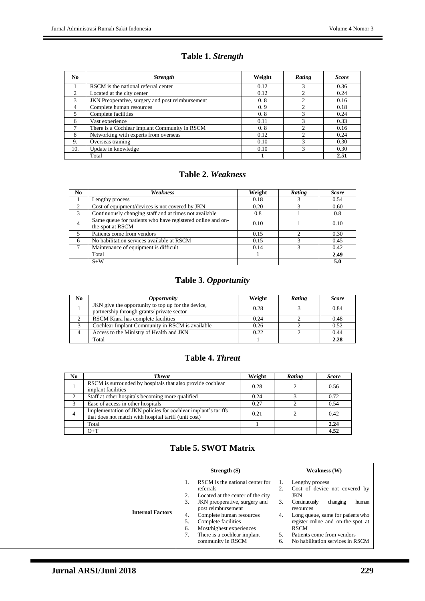# **Table 1.** *Strength*

| N <sub>0</sub> | <b>Strength</b>                                  | Weight | Rating | <b>Score</b> |
|----------------|--------------------------------------------------|--------|--------|--------------|
|                | RSCM is the national referral center             | 0.12   |        | 0.36         |
| $\mathfrak{D}$ | Located at the city center                       | 0.12   | ◠      | 0.24         |
| 3              | JKN Preoperative, surgery and post reimbursement | 0.8    | ↑      | 0.16         |
| 4              | Complete human resources                         | 0.9    |        | 0.18         |
| 5              | Complete facilities                              | 0.8    |        | 0.24         |
| 6              | Vast experience                                  | 0.11   |        | 0.33         |
|                | There is a Cochlear Implant Community in RSCM    | 0.8    |        | 0.16         |
| 8              | Networking with experts from overseas            | 0.12   | 2      | 0.24         |
| 9.             | Overseas training                                | 0.10   | 3      | 0.30         |
| 10.            | Update in knowledge                              | 0.10   | 3      | 0.30         |
|                | Total                                            |        |        | 2.51         |

#### **Table 2.** *Weakness*

| No             | Weakness                                                                       | Weight | Rating | <b>Score</b> |
|----------------|--------------------------------------------------------------------------------|--------|--------|--------------|
|                | Lengthy process                                                                | 0.18   |        | 0.54         |
| $\mathfrak{D}$ | Cost of equipment/devices is not covered by JKN                                | 0.20   |        | 0.60         |
| 3              | Continuously changing staff and at times not available                         | 0.8    |        | 0.8          |
| $\overline{4}$ | Same queue for patients who have registered online and on-<br>the-spot at RSCM | 0.10   |        | 0.10         |
|                | Patients come from vendors                                                     | 0.15   |        | 0.30         |
| 6              | No habilitation services available at RSCM                                     | 0.15   |        | 0.45         |
|                | Maintenance of equipment is difficult                                          | 0.14   |        | 0.42         |
|                | Total                                                                          |        |        | 2.49         |
|                | $S+W$                                                                          |        |        | 5.0          |

# **Table 3.** *Opportunity*

| No | <i><b>Opportunity</b></i>                                                                        | Weight | <b>Rating</b> | <b>Score</b> |
|----|--------------------------------------------------------------------------------------------------|--------|---------------|--------------|
|    | JKN give the opportunity to top up for the device,<br>partnership through grants/ private sector | 0.28   |               | 0.84         |
|    | RSCM Kiara has complete facilities                                                               | 0.24   |               | 0.48         |
|    | Cochlear Implant Community in RSCM is available                                                  | 0.26   |               | 0.52         |
|    | Access to the Ministry of Health and JKN                                                         | 0.22   |               | 0.44         |
|    | Total                                                                                            |        |               | 2.28         |

# **Table 4.** *Threat*

| No. | <b>Threat</b>                                                                                                         | Weight | Rating | <b>Score</b> |
|-----|-----------------------------------------------------------------------------------------------------------------------|--------|--------|--------------|
|     | RSCM is surrounded by hospitals that also provide cochlear<br>implant facilities                                      | 0.28   |        | 0.56         |
|     | Staff at other hospitals becoming more qualified                                                                      | 0.24   |        | 0.72         |
|     | Ease of access in other hospitals                                                                                     | 0.27   |        | 0.54         |
| 4   | Implementation of JKN policies for cochlear implant's tariffs<br>that does not match with hospital tariff (unit cost) | 0.21   |        | 0.42         |
|     | Total                                                                                                                 |        |        | 2.24         |
|     | $O+T$                                                                                                                 |        |        | 4.52         |

## **Table 5. SWOT Matrix**

|                         |    | Strength $(S)$                    | Weakness (W) |                                    |
|-------------------------|----|-----------------------------------|--------------|------------------------------------|
|                         |    | RSCM is the national center for   |              | Lengthy process                    |
|                         |    | referrals                         |              | Cost of device not covered by      |
|                         |    | Located at the center of the city |              | <b>JKN</b>                         |
|                         | 3. | JKN preoperative, surgery and     | 3.           | Continuously<br>changing<br>human  |
|                         |    | post reimbursement                |              | resources                          |
| <b>Internal Factors</b> | 4. | Complete human resources          | 4.           | Long queue, same for patients who  |
|                         | 5. | Complete facilities               |              | register online and on-the-spot at |
|                         | 6. | Most/highest experiences          |              | <b>RSCM</b>                        |
|                         | 7. | There is a cochlear implant       | 5.           | Patients come from vendors         |
|                         |    | community in RSCM                 | 6.           | No habilitation services in RSCM   |
|                         |    |                                   |              |                                    |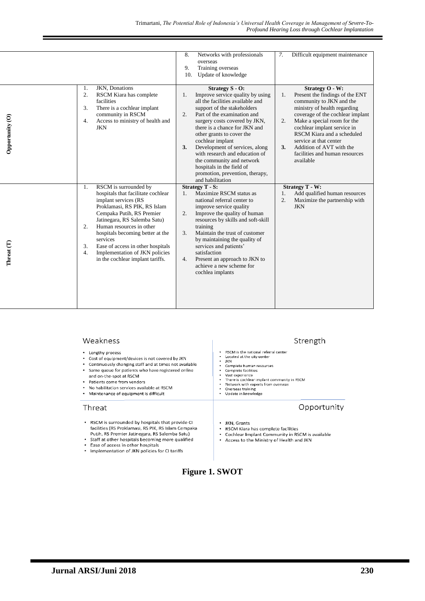|                 |                                                                                                                                                                                                                                                                                                                                                                                                               | Networks with professionals<br>8.<br>overseas<br>Training overseas<br>9.<br>Update of knowledge<br>10.                                                                                                                                                                                                                                                                                                                                                                          | Difficult equipment maintenance<br>7.                                                                                                                                                                                                                                                                                                                                               |
|-----------------|---------------------------------------------------------------------------------------------------------------------------------------------------------------------------------------------------------------------------------------------------------------------------------------------------------------------------------------------------------------------------------------------------------------|---------------------------------------------------------------------------------------------------------------------------------------------------------------------------------------------------------------------------------------------------------------------------------------------------------------------------------------------------------------------------------------------------------------------------------------------------------------------------------|-------------------------------------------------------------------------------------------------------------------------------------------------------------------------------------------------------------------------------------------------------------------------------------------------------------------------------------------------------------------------------------|
| Opportunity (O) | JKN, Donations<br>1.<br>2.<br>RSCM Kiara has complete<br>facilities<br>There is a cochlear implant<br>3.<br>community in RSCM<br>Access to ministry of health and<br>4.<br><b>JKN</b>                                                                                                                                                                                                                         | Strategy S - O:<br>Improve service quality by using<br>1.<br>all the facilities available and<br>support of the stakeholders<br>Part of the examination and<br>2.<br>surgery costs covered by JKN,<br>there is a chance for JKN and<br>other grants to cover the<br>cochlear implant<br>Development of services, along<br>3.<br>with research and education of<br>the community and network<br>hospitals in the field of<br>promotion, prevention, therapy,<br>and habilitation | Strategy O - W:<br>1.<br>Present the findings of the ENT<br>community to JKN and the<br>ministry of health regarding<br>coverage of the cochlear implant<br>$\overline{2}$ .<br>Make a special room for the<br>cochlear implant service in<br>RSCM Kiara and a scheduled<br>service at that center<br>3.<br>Addition of AVT with the<br>facilities and human resources<br>available |
| Threat (T)      | RSCM is surrounded by<br>1.<br>hospitals that facilitate cochlear<br>implant services (RS<br>Proklamasi, RS PIK, RS Islam<br>Cempaka Putih, RS Premier<br>Jatinegara, RS Salemba Satu)<br>Human resources in other<br>$\overline{2}$ .<br>hospitals becoming better at the<br>services<br>3.<br>Ease of access in other hospitals<br>Implementation of JKN policies<br>4.<br>in the cochlear implant tariffs. | <b>Strategy T - S:</b><br>Maximize RSCM status as<br>$1_{-}$<br>national referral center to<br>improve service quality<br>2.<br>Improve the quality of human<br>resources by skills and soft-skill<br>training<br>Maintain the trust of customer<br>3.<br>by maintaining the quality of<br>services and patients'<br>satisfaction<br>Present an approach to JKN to<br>4.<br>achieve a new scheme for<br>cochlea implants                                                        | <b>Strategy T - W:</b><br>Add qualified human resources<br>1.<br>2.<br>Maximize the partnership with<br><b>JKN</b>                                                                                                                                                                                                                                                                  |

#### Weakness

- Lengthy process
- $\ddot{\phantom{a}}$ Cost of equipment/devices is not covered by JKN
- $\ddot{\phantom{a}}$ Continuously changing staff and at times not available  $\ddot{\phantom{a}}$
- Same queue for patients who have registered online
- and on-the-spot at RSCM  $\ddot{\phantom{0}}$ Patients come from vendors
- No habilitation services available at RSCM
- Maintenance of equipment is difficult

#### Threat

- RSCM is surrounded by hospitals that provide CI facilities (RS Proklamas), RS PIK, RS Islam Cempaka<br>Putih, RS Premier Jatinegara, RS Salemba Satu)<br>Staff at other hospitals becoming more qualified
- 
- Ease of access in other hospitals
- $\ddot{\phantom{0}}$ Implementation of JKN policies for CI tariffs

### Strength

- RSCM is the national referral center<br>Located at the city center<br>JKN
- $\ddot{\cdot}$
- complete human resources
- $\ddot{\cdot}$
- 
- Complete human resources<br>
Complete facilities<br>
Vast experience<br>
Vast experience<br>
There is cochlear implant community in RSCM<br>
Network with experts from overseas<br>
Overseas training<br>
Update in knowledge  $\overline{\phantom{a}}$
- $\ddot{\cdot}$
- 

#### Opportunity

- JKN, Grants
- RSCM Kiara has complete facilities  $\ddot{\phantom{0}}$
- Cochlear Implant Community in RSCM is available  $\bullet$
- Access to the Ministry of Health and JKN

# **Figure 1. SWOT**